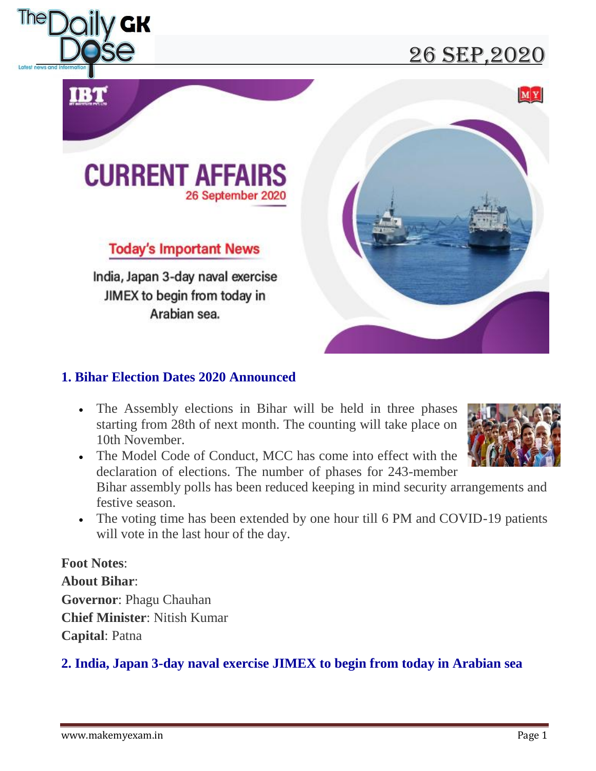

## 26 sEP,2020





### **Today's Important News**

India, Japan 3-day naval exercise JIMEX to begin from today in Arabian sea.



#### **1. Bihar Election Dates 2020 Announced**

 The Assembly elections in Bihar will be held in three phases starting from 28th of next month. The counting will take place on 10th November.



 The Model Code of Conduct, MCC has come into effect with the declaration of elections. The number of phases for 243-member

Bihar assembly polls has been reduced keeping in mind security arrangements and festive season.

• The voting time has been extended by one hour till 6 PM and COVID-19 patients will vote in the last hour of the day.

### **Foot Notes**:

**About Bihar**: **Governor**: Phagu Chauhan **Chief Minister**: Nitish Kumar **Capital**: Patna

#### **2. India, Japan 3-day naval exercise JIMEX to begin from today in Arabian sea**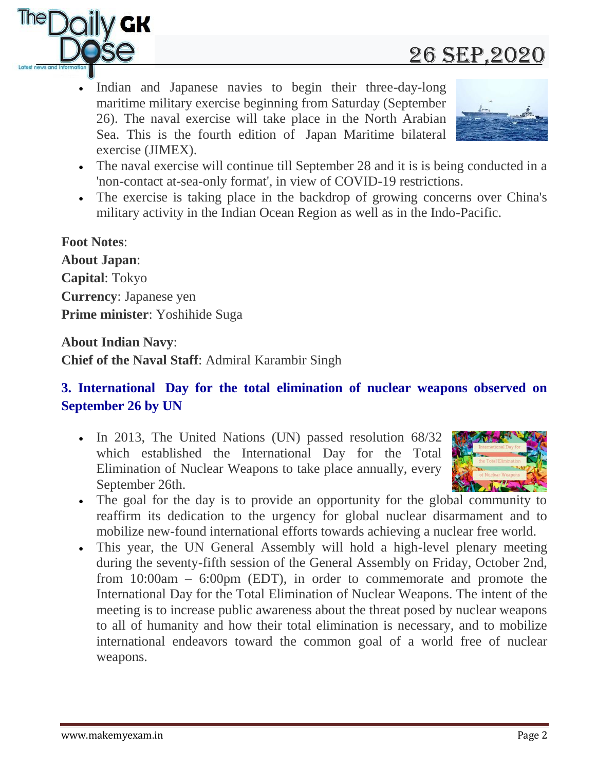

## 26 sEP,2020

 Indian and Japanese navies to begin their three-day-long maritime military exercise beginning from Saturday (September 26). The naval exercise will take place in the North Arabian Sea. This is the fourth edition of Japan Maritime bilateral exercise (JIMEX).



- The naval exercise will continue till September 28 and it is is being conducted in a 'non-contact at-sea-only format', in view of COVID-19 restrictions.
- The exercise is taking place in the backdrop of growing concerns over China's military activity in the Indian Ocean Region as well as in the Indo-Pacific.

## **Foot Notes**: **About Japan**: **Capital**: Tokyo **Currency**: Japanese yen **Prime minister**: Yoshihide Suga

**About Indian Navy**:

**Chief of the Naval Staff**: Admiral Karambir Singh

#### **3. International Day for the total elimination of nuclear weapons observed on September 26 by UN**

• In 2013, The United Nations (UN) passed resolution 68/32 which established the International Day for the Total Elimination of Nuclear Weapons to take place annually, every September 26th.



- The goal for the day is to provide an opportunity for the global community to reaffirm its dedication to the urgency for global nuclear disarmament and to mobilize new-found international efforts towards achieving a nuclear free world.
- This year, the UN General Assembly will hold a high-level plenary meeting during the seventy-fifth session of the General Assembly on Friday, October 2nd, from 10:00am – 6:00pm (EDT), in order to commemorate and promote the International Day for the Total Elimination of Nuclear Weapons. The intent of the meeting is to increase public awareness about the threat posed by nuclear weapons to all of humanity and how their total elimination is necessary, and to mobilize international endeavors toward the common goal of a world free of nuclear weapons.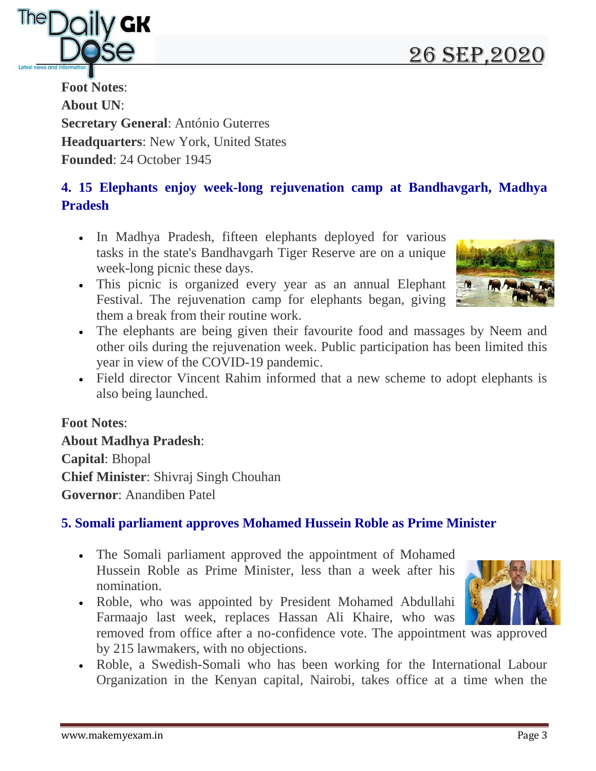# 26 sEP,2020



**Foot Notes**: **About UN**: **Secretary General**: António Guterres **Headquarters**: New York, United States **Founded**: 24 October 1945

## **4. 15 Elephants enjoy week-long rejuvenation camp at Bandhavgarh, Madhya Pradesh**

- In Madhya Pradesh, fifteen elephants deployed for various tasks in the state's Bandhavgarh Tiger Reserve are on a unique week-long picnic these days.
- This picnic is organized every year as an annual Elephant Festival. The rejuvenation camp for elephants began, giving them a break from their routine work.
- The elephants are being given their favourite food and massages by Neem and other oils during the rejuvenation week. Public participation has been limited this year in view of the COVID-19 pandemic.
- Field director Vincent Rahim informed that a new scheme to adopt elephants is also being launched.

#### **Foot Notes**:

**About Madhya Pradesh**: **Capital**: Bhopal **Chief Minister**: Shivraj Singh Chouhan **Governor**: Anandiben Patel

#### **5. Somali parliament approves Mohamed Hussein Roble as Prime Minister**

- The Somali parliament approved the appointment of Mohamed Hussein Roble as Prime Minister, less than a week after his nomination.
- Roble, who was appointed by President Mohamed Abdullahi Farmaajo last week, replaces Hassan Ali Khaire, who was



 Roble, a Swedish-Somali who has been working for the International Labour Organization in the Kenyan capital, Nairobi, takes office at a time when the

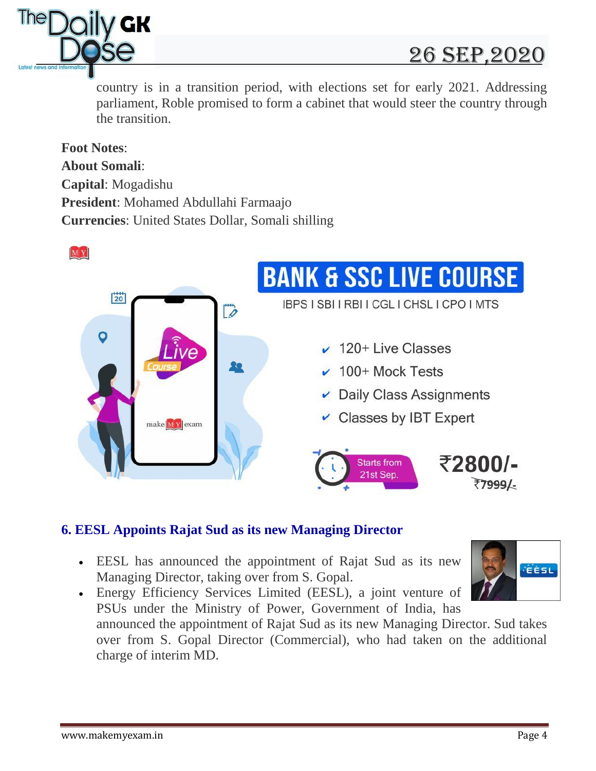

country is in a transition period, with elections set for early 2021. Addressing parliament, Roble promised to form a cabinet that would steer the country through the transition.

**Foot Notes**: **About Somali**: **Capital**: Mogadishu **President**: Mohamed Abdullahi Farmaajo **Currencies**: United States Dollar, Somali shilling



#### **6. EESL Appoints Rajat Sud as its new Managing Director**

- EESL has announced the appointment of Rajat Sud as its new Managing Director, taking over from S. Gopal.
- Energy Efficiency Services Limited (EESL), a joint venture of PSUs under the Ministry of Power, Government of India, has announced the appointment of Rajat Sud as its new Managing Director. Sud takes over from S. Gopal Director (Commercial), who had taken on the additional charge of interim MD.

**EESL**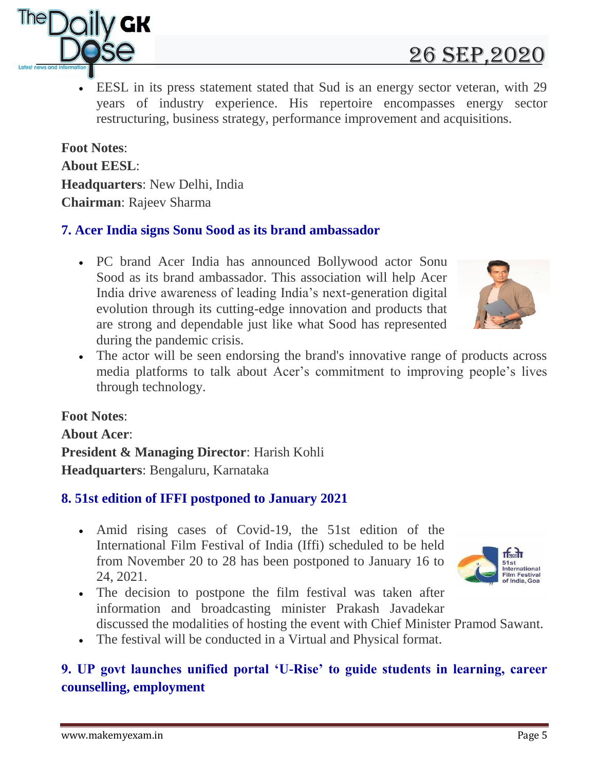

 EESL in its press statement stated that Sud is an energy sector veteran, with 29 years of industry experience. His repertoire encompasses energy sector restructuring, business strategy, performance improvement and acquisitions.

**Foot Notes**: **About EESL**: **Headquarters**: New Delhi, India **Chairman**: Rajeev Sharma

V GK

#### **7. Acer India signs Sonu Sood as its brand ambassador**

- PC brand Acer India has announced Bollywood actor Sonu Sood as its brand ambassador. This association will help Acer India drive awareness of leading India"s next-generation digital evolution through its cutting-edge innovation and products that are strong and dependable just like what Sood has represented during the pandemic crisis.
- The actor will be seen endorsing the brand's innovative range of products across media platforms to talk about Acer's commitment to improving people's lives through technology.

#### **Foot Notes**:

**About Acer**: **President & Managing Director**: Harish Kohli **Headquarters**: Bengaluru, Karnataka

#### **8. 51st edition of IFFI postponed to January 2021**

- Amid rising cases of Covid-19, the 51st edition of the International Film Festival of India (Iffi) scheduled to be held from November 20 to 28 has been postponed to January 16 to 24, 2021.
- The decision to postpone the film festival was taken after information and broadcasting minister Prakash Javadekar
- discussed the modalities of hosting the event with Chief Minister Pramod Sawant.
- The festival will be conducted in a Virtual and Physical format.

#### **9. UP govt launches unified portal 'U-Rise' to guide students in learning, career counselling, employment**



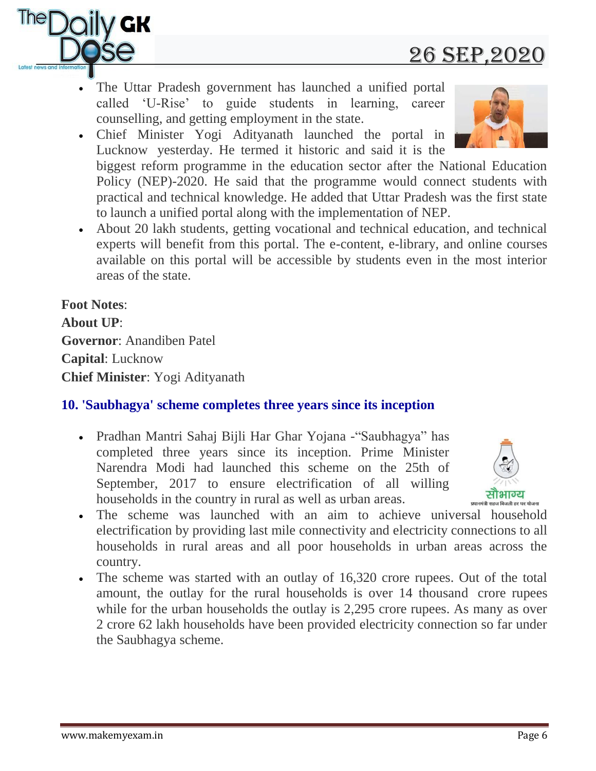# The Uttar Pradesh government has launched a unified portal

- called "U-Rise" to guide students in learning, career counselling, and getting employment in the state. Chief Minister Yogi Adityanath launched the portal in
- Lucknow yesterday. He termed it historic and said it is the biggest reform programme in the education sector after the National Education Policy (NEP)-2020. He said that the programme would connect students with practical and technical knowledge. He added that Uttar Pradesh was the first state to launch a unified portal along with the implementation of NEP.
- About 20 lakh students, getting vocational and technical education, and technical experts will benefit from this portal. The e-content, e-library, and online courses available on this portal will be accessible by students even in the most interior areas of the state.

**Foot Notes**: **About UP**: **Governor**: Anandiben Patel **Capital**: Lucknow **Chief Minister**: Yogi Adityanath

#### **10. 'Saubhagya' scheme completes three years since its inception**

- Pradhan Mantri Sahaj Bijli Har Ghar Yojana -"Saubhagya" has completed three years since its inception. Prime Minister Narendra Modi had launched this scheme on the 25th of September, 2017 to ensure electrification of all willing households in the country in rural as well as urban areas.
- The scheme was launched with an aim to achieve universal household electrification by providing last mile connectivity and electricity connections to all households in rural areas and all poor households in urban areas across the country.
- The scheme was started with an outlay of 16,320 crore rupees. Out of the total amount, the outlay for the rural households is over 14 thousand crore rupees while for the urban households the outlay is 2,295 crore rupees. As many as over 2 crore 62 lakh households have been provided electricity connection so far under the Saubhagya scheme.







# 26 sEP,2020